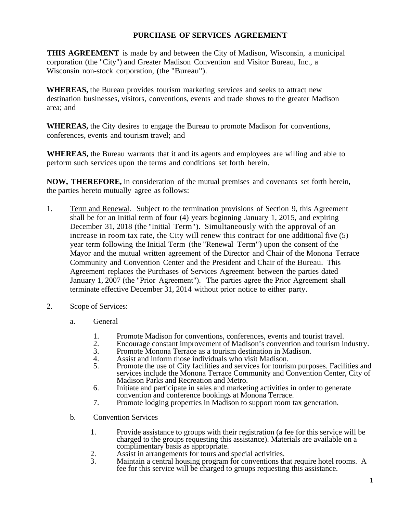## **PURCHASE OF SERVICES AGREEMENT**

**THIS AGREEMENT** is made by and between the City of Madison, Wisconsin, a municipal corporation (the "City") and Greater Madison Convention and Visitor Bureau, Inc., a Wisconsin non-stock corporation, (the "Bureau").

**WHEREAS,** the Bureau provides tourism marketing services and seeks to attract new destination businesses, visitors, conventions, events and trade shows to the greater Madison area; and

**WHEREAS,** the City desires to engage the Bureau to promote Madison for conventions, conferences, events and tourism travel; and

**WHEREAS,** the Bureau warrants that it and its agents and employees are willing and able to perform such services upon the terms and conditions set forth herein.

**NOW, THEREFORE,** in consideration of the mutual premises and covenants set forth herein, the parties hereto mutually agree as follows:

- 1. Term and Renewal. Subject to the termination provisions of Section 9, this Agreement shall be for an initial term of four (4) years beginning January 1, 2015, and expiring December 31, 2018 (the "Initial Term"). Simultaneously with the approval of an increase in room tax rate, the City will renew this contract for one additional five (5) year term following the Initial Term (the "Renewal Term") upon the consent of the Mayor and the mutual written agreement of the Director and Chair of the Monona Terrace Community and Convention Center and the President and Chair of the Bureau. This Agreement replaces the Purchases of Services Agreement between the parties dated January 1, 2007 (the "Prior Agreement"). The parties agree the Prior Agreement shall terminate effective December 31, 2014 without prior notice to either party.
- 2. Scope of Services:
	- a. General
		- 1. Promote Madison for conventions, conferences, events and tourist travel.<br>2. Encourage constant improvement of Madison's convention and tourism in
		- 2. Encourage constant improvement of Madison's convention and tourism industry.<br>3. Promote Monona Terrace as a tourism destination in Madison.
		- 3. Promote Monona Terrace as a tourism destination in Madison.<br>4. Assist and inform those individuals who visit Madison.
		- 4. Assist and inform those individuals who visit Madison.<br>5. Promote the use of City facilities and services for touris
		- 5. Promote the use of City facilities and services for tourism purposes. Facilities and services include the Monona Terrace Community and Convention Center, City of Madison Parks and Recreation and Metro.
		- 6. Initiate and participate in sales and marketing activities in order to generate convention and conference bookings at Monona Terrace.
		- 7. Promote lodging properties in Madison to support room tax generation.
	- b. Convention Services
		- 1. Provide assistance to groups with their registration (a fee for this service will be charged to the groups requesting this assistance). Materials are available on a complimentary basis as appropriate.
		- 2. Assist in arrangements for tours and special activities.<br>3. Maintain a central housing program for conventions the
		- Maintain a central housing program for conventions that require hotel rooms. A fee for this service will be charged to groups requesting this assistance.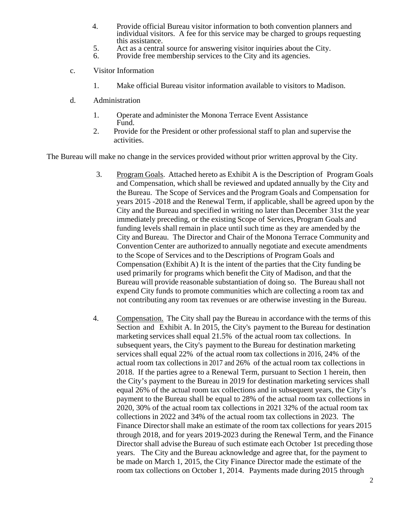- 4. Provide official Bureau visitor information to both convention planners and individual visitors. A fee for this service may be charged to groups requesting this assistance.
- 5. Act as a central source for answering visitor inquiries about the City.
- 6. Provide free membership services to the City and its agencies.
- c. Visitor Information
	- 1. Make official Bureau visitor information available to visitors to Madison.
- d. Administration
	- 1. Operate and administer the Monona Terrace Event Assistance Fund.
	- 2. Provide for the President or other professional staff to plan and supervise the activities.

The Bureau will make no change in the services provided without prior written approval by the City.

- 3. Program Goals. Attached hereto as Exhibit A is the Description of Program Goals and Compensation, which shall be reviewed and updated annually by the City and the Bureau. The Scope of Services and the Program Goals and Compensation for years 2015 -2018 and the Renewal Term, if applicable, shall be agreed upon by the City and the Bureau and specified in writing no later than December 31st the year immediately preceding, or the existing Scope of Services, Program Goals and funding levels shall remain in place until such time as they are amended by the City and Bureau. The Director and Chair of the Monona Terrace Community and Convention Center are authorized to annually negotiate and execute amendments to the Scope of Services and to the Descriptions of Program Goals and Compensation (Exhibit A) It is the intent of the parties that the City funding be used primarily for programs which benefit the City of Madison, and that the Bureau will provide reasonable substantiation of doing so. The Bureau shall not expend City funds to promote communities which are collecting a room tax and not contributing any room tax revenues or are otherwise investing in the Bureau.
- 4. Compensation. The City shall pay the Bureau in accordance with the terms of this Section and Exhibit A. In 2015, the City's payment to the Bureau for destination marketing services shall equal 21.5% of the actual room tax collections. In subsequent years, the City's payment to the Bureau for destination marketing services shall equal 22% of the actual room tax collections in 2016, 24% of the actual room tax collections in 2017 and 26% of the actual room tax collections in 2018. If the parties agree to a Renewal Term, pursuant to Section 1 herein, then the City's payment to the Bureau in 2019 for destination marketing services shall equal 26% of the actual room tax collections and in subsequent years, the City's payment to the Bureau shall be equal to 28% of the actual room tax collections in 2020, 30% of the actual room tax collections in 2021 32% of the actual room tax collections in 2022 and 34% of the actual room tax collections in 2023. The Finance Director shall make an estimate of the room tax collections for years 2015 through 2018, and for years 2019-2023 during the Renewal Term, and the Finance Director shall advise the Bureau of such estimate each October 1st preceding those years. The City and the Bureau acknowledge and agree that, for the payment to be made on March 1, 2015, the City Finance Director made the estimate of the room tax collections on October 1, 2014. Payments made during 2015 through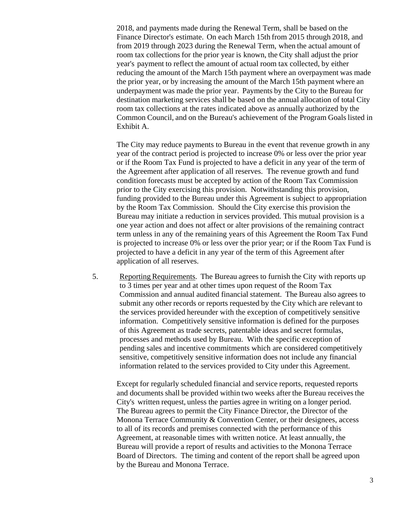2018, and payments made during the Renewal Term, shall be based on the Finance Director's estimate. On each March 15th from 2015 through 2018, and from 2019 through 2023 during the Renewal Term, when the actual amount of room tax collections for the prior year is known, the City shall adjust the prior year's payment to reflect the amount of actual room tax collected, by either reducing the amount of the March 15th payment where an overpayment was made the prior year, or by increasing the amount of the March 15th payment where an underpayment was made the prior year. Payments by the City to the Bureau for destination marketing services shall be based on the annual allocation of total City room tax collections at the rates indicated above as annually authorized by the Common Council, and on the Bureau's achievement of the Program Goals listed in Exhibit A.

The City may reduce payments to Bureau in the event that revenue growth in any year of the contract period is projected to increase 0% or less over the prior year or if the Room Tax Fund is projected to have a deficit in any year of the term of the Agreement after application of all reserves. The revenue growth and fund condition forecasts must be accepted by action of the Room Tax Commission prior to the City exercising this provision. Notwithstanding this provision, funding provided to the Bureau under this Agreement is subject to appropriation by the Room Tax Commission. Should the City exercise this provision the Bureau may initiate a reduction in services provided. This mutual provision is a one year action and does not affect or alter provisions of the remaining contract term unless in any of the remaining years of this Agreement the Room Tax Fund is projected to increase 0% or less over the prior year; or if the Room Tax Fund is projected to have a deficit in any year of the term of this Agreement after application of all reserves.

 5. Reporting Requirements. The Bureau agrees to furnish the City with reports up to 3 times per year and at other times upon request of the Room Tax Commission and annual audited financial statement. The Bureau also agrees to submit any other records or reports requested by the City which are relevant to the services provided hereunder with the exception of competitively sensitive information. Competitively sensitive information is defined for the purposes of this Agreement as trade secrets, patentable ideas and secret formulas, processes and methods used by Bureau. With the specific exception of pending sales and incentive commitments which are considered competitively sensitive, competitively sensitive information does not include any financial information related to the services provided to City under this Agreement.

Except for regularly scheduled financial and service reports, requested reports and documents shall be provided within two weeks after the Bureau receives the City's written request, unless the parties agree in writing on a longer period. The Bureau agrees to permit the City Finance Director, the Director of the Monona Terrace Community & Convention Center, or their designees, access to all of its records and premises connected with the performance of this Agreement, at reasonable times with written notice. At least annually, the Bureau will provide a report of results and activities to the Monona Terrace Board of Directors. The timing and content of the report shall be agreed upon by the Bureau and Monona Terrace.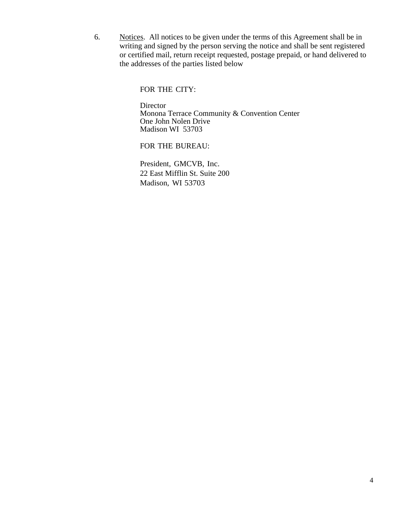6. Notices. All notices to be given under the terms of this Agreement shall be in writing and signed by the person serving the notice and shall be sent registered or certified mail, return receipt requested, postage prepaid, or hand delivered to the addresses of the parties listed below

FOR THE CITY:

**Director**  Monona Terrace Community & Convention Center One John Nolen Drive Madison WI 53703

FOR THE BUREAU:

 President, GMCVB, Inc. 22 East Mifflin St. Suite 200 Madison, WI 53703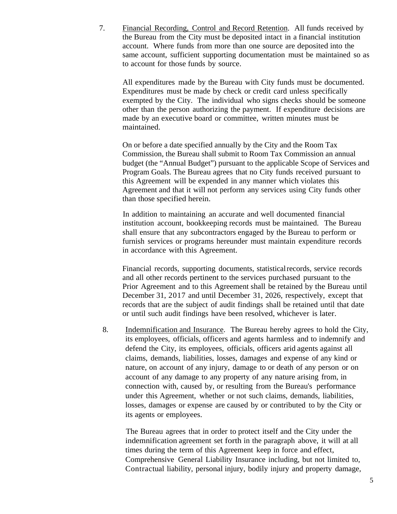7. Financial Recording, Control and Record Retention. All funds received by the Bureau from the City must be deposited intact in a financial institution account. Where funds from more than one source are deposited into the same account, sufficient supporting documentation must be maintained so as to account for those funds by source.

All expenditures made by the Bureau with City funds must be documented. Expenditures must be made by check or credit card unless specifically exempted by the City. The individual who signs checks should be someone other than the person authorizing the payment. If expenditure decisions are made by an executive board or committee, written minutes must be maintained.

On or before a date specified annually by the City and the Room Tax Commission, the Bureau shall submit to Room Tax Commission an annual budget (the "Annual Budget") pursuant to the applicable Scope of Services and Program Goals. The Bureau agrees that no City funds received pursuant to this Agreement will be expended in any manner which violates this Agreement and that it will not perform any services using City funds other than those specified herein.

In addition to maintaining an accurate and well documented financial institution account, bookkeeping records must be maintained. The Bureau shall ensure that any subcontractors engaged by the Bureau to perform or furnish services or programs hereunder must maintain expenditure records in accordance with this Agreement.

Financial records, supporting documents, statistical records, service records and all other records pertinent to the services purchased pursuant to the Prior Agreement and to this Agreement shall be retained by the Bureau until December 31, 2017 and until December 31, 2026, respectively, except that records that are the subject of audit findings shall be retained until that date or until such audit findings have been resolved, whichever is later.

8. Indemnification and Insurance. The Bureau hereby agrees to hold the City, its employees, officials, officers and agents harmless and to indemnify and defend the City, its employees, officials, officers arid agents against all claims, demands, liabilities, losses, damages and expense of any kind or nature, on account of any injury, damage to or death of any person or on account of any damage to any property of any nature arising from, in connection with, caused by, or resulting from the Bureau's performance under this Agreement, whether or not such claims, demands, liabilities, losses, damages or expense are caused by or contributed to by the City or its agents or employees.

The Bureau agrees that in order to protect itself and the City under the indemnification agreement set forth in the paragraph above, it will at all times during the term of this Agreement keep in force and effect, Comprehensive General Liability Insurance including, but not limited to, Contractual liability, personal injury, bodily injury and property damage,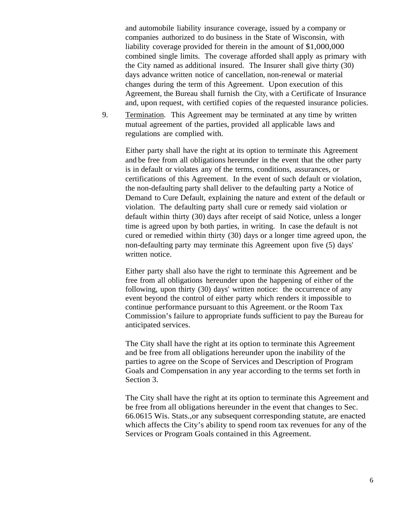and automobile liability insurance coverage, issued by a company or companies authorized to do business in the State of Wisconsin, with liability coverage provided for therein in the amount of \$1,000,000 combined single limits. The coverage afforded shall apply as primary with the City named as additional insured. The Insurer shall give thirty (30) days advance written notice of cancellation, non-renewal or material changes during the term of this Agreement. Upon execution of this Agreement, the Bureau shall furnish the City, with a Certificate of Insurance and, upon request, with certified copies of the requested insurance policies.

9. Termination. This Agreement may be terminated at any time by written mutual agreement of the parties, provided all applicable laws and regulations are complied with.

Either party shall have the right at its option to terminate this Agreement and be free from all obligations hereunder in the event that the other party is in default or violates any of the terms, conditions, assurances, or certifications of this Agreement. In the event of such default or violation, the non-defaulting party shall deliver to the defaulting party a Notice of Demand to Cure Default, explaining the nature and extent of the default or violation. The defaulting party shall cure or remedy said violation or default within thirty (30) days after receipt of said Notice, unless a longer time is agreed upon by both parties, in writing. In case the default is not cured or remedied within thirty (30) days or a longer time agreed upon, the non-defaulting party may terminate this Agreement upon five (5) days' written notice.

Either party shall also have the right to terminate this Agreement and be free from all obligations hereunder upon the happening of either of the following, upon thirty (30) days' written notice: the occurrence of any event beyond the control of either party which renders it impossible to continue performance pursuant to this Agreement. or the Room Tax Commission's failure to appropriate funds sufficient to pay the Bureau for anticipated services.

The City shall have the right at its option to terminate this Agreement and be free from all obligations hereunder upon the inability of the parties to agree on the Scope of Services and Description of Program Goals and Compensation in any year according to the terms set forth in Section 3.

The City shall have the right at its option to terminate this Agreement and be free from all obligations hereunder in the event that changes to Sec. 66.0615 Wis. Stats.,or any subsequent corresponding statute, are enacted which affects the City's ability to spend room tax revenues for any of the Services or Program Goals contained in this Agreement.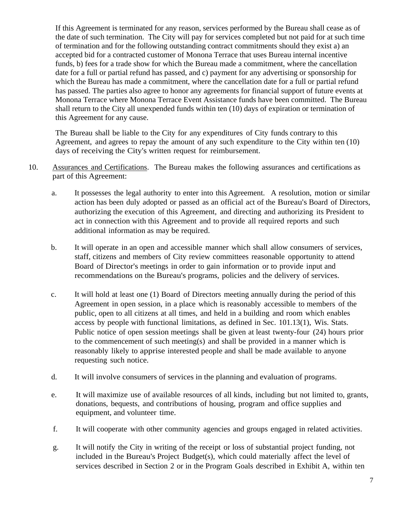If this Agreement is terminated for any reason, services performed by the Bureau shall cease as of the date of such termination. The City will pay for services completed but not paid for at such time of termination and for the following outstanding contract commitments should they exist a) an accepted bid for a contracted customer of Monona Terrace that uses Bureau internal incentive funds, b) fees for a trade show for which the Bureau made a commitment, where the cancellation date for a full or partial refund has passed, and c) payment for any advertising or sponsorship for which the Bureau has made a commitment, where the cancellation date for a full or partial refund has passed. The parties also agree to honor any agreements for financial support of future events at Monona Terrace where Monona Terrace Event Assistance funds have been committed. The Bureau shall return to the City all unexpended funds within ten (10) days of expiration or termination of this Agreement for any cause.

The Bureau shall be liable to the City for any expenditures of City funds contrary to this Agreement, and agrees to repay the amount of any such expenditure to the City within ten (10) days of receiving the City's written request for reimbursement.

- 10. Assurances and Certifications. The Bureau makes the following assurances and certifications as part of this Agreement:
	- a. It possesses the legal authority to enter into this Agreement. A resolution, motion or similar action has been duly adopted or passed as an official act of the Bureau's Board of Directors, authorizing the execution of this Agreement, and directing and authorizing its President to act in connection with this Agreement and to provide all required reports and such additional information as may be required.
	- b. It will operate in an open and accessible manner which shall allow consumers of services, staff, citizens and members of City review committees reasonable opportunity to attend Board of Director's meetings in order to gain information or to provide input and recommendations on the Bureau's programs, policies and the delivery of services.
	- c. It will hold at least one (1) Board of Directors meeting annually during the period of this Agreement in open session, in a place which is reasonably accessible to members of the public, open to all citizens at all times, and held in a building and room which enables access by people with functional limitations, as defined in Sec. 101.13(1), Wis. Stats. Public notice of open session meetings shall be given at least twenty-four (24) hours prior to the commencement of such meeting(s) and shall be provided in a manner which is reasonably likely to apprise interested people and shall be made available to anyone requesting such notice.
	- d. It will involve consumers of services in the planning and evaluation of programs.
	- e. It will maximize use of available resources of all kinds, including but not limited to, grants, donations, bequests, and contributions of housing, program and office supplies and equipment, and volunteer time.
	- f. It will cooperate with other community agencies and groups engaged in related activities.
	- g. It will notify the City in writing of the receipt or loss of substantial project funding, not included in the Bureau's Project Budget(s), which could materially affect the level of services described in Section 2 or in the Program Goals described in Exhibit A, within ten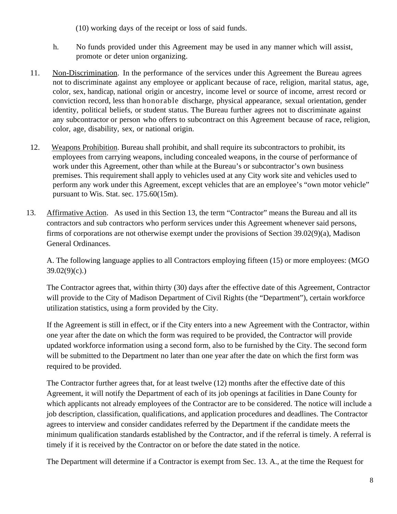- (10) working days of the receipt or loss of said funds.
- h. No funds provided under this Agreement may be used in any manner which will assist, promote or deter union organizing.
- 11. Non-Discrimination. In the performance of the services under this Agreement the Bureau agrees not to discriminate against any employee or applicant because of race, religion, marital status, age, color, sex, handicap, national origin or ancestry, income level or source of income, arrest record or conviction record, less than honorable discharge, physical appearance, sexual orientation, gender identity, political beliefs, or student status. The Bureau further agrees not to discriminate against any subcontractor or person who offers to subcontract on this Agreement because of race, religion, color, age, disability, sex, or national origin.
- 12. Weapons Prohibition. Bureau shall prohibit, and shall require its subcontractors to prohibit, its employees from carrying weapons, including concealed weapons, in the course of performance of work under this Agreement, other than while at the Bureau's or subcontractor's own business premises. This requirement shall apply to vehicles used at any City work site and vehicles used to perform any work under this Agreement, except vehicles that are an employee's "own motor vehicle" pursuant to Wis. Stat. sec. 175.60(15m).
- 13. Affirmative Action. As used in this Section 13, the term "Contractor" means the Bureau and all its contractors and sub contractors who perform services under this Agreement whenever said persons, firms of corporations are not otherwise exempt under the provisions of Section 39.02(9)(a), Madison General Ordinances.

 A. The following language applies to all Contractors employing fifteen (15) or more employees: (MGO  $39.02(9)(c)$ .)

 The Contractor agrees that, within thirty (30) days after the effective date of this Agreement, Contractor will provide to the City of Madison Department of Civil Rights (the "Department"), certain workforce utilization statistics, using a form provided by the City.

 If the Agreement is still in effect, or if the City enters into a new Agreement with the Contractor, within one year after the date on which the form was required to be provided, the Contractor will provide updated workforce information using a second form, also to be furnished by the City. The second form will be submitted to the Department no later than one year after the date on which the first form was required to be provided.

 The Contractor further agrees that, for at least twelve (12) months after the effective date of this Agreement, it will notify the Department of each of its job openings at facilities in Dane County for which applicants not already employees of the Contractor are to be considered. The notice will include a job description, classification, qualifications, and application procedures and deadlines. The Contractor agrees to interview and consider candidates referred by the Department if the candidate meets the minimum qualification standards established by the Contractor, and if the referral is timely. A referral is timely if it is received by the Contractor on or before the date stated in the notice.

The Department will determine if a Contractor is exempt from Sec. 13. A., at the time the Request for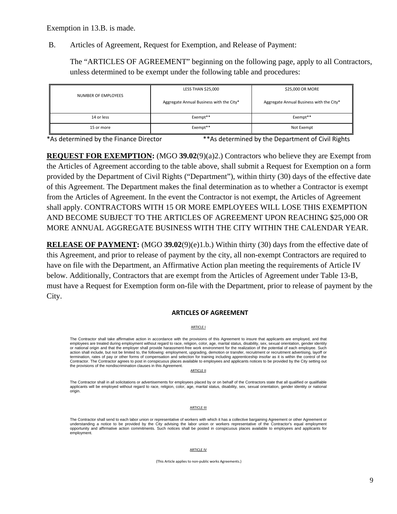Exemption in 13.B. is made.

B. Articles of Agreement, Request for Exemption, and Release of Payment:

The "ARTICLES OF AGREEMENT" beginning on the following page, apply to all Contractors, unless determined to be exempt under the following table and procedures:

| NUMBER OF EMPLOYEES | <b>LESS THAN \$25,000</b>                | \$25,000 OR MORE                         |
|---------------------|------------------------------------------|------------------------------------------|
|                     | Aggregate Annual Business with the City* | Aggregate Annual Business with the City* |
| 14 or less          | Exempt**                                 | Exempt**                                 |
| 15 or more          | Exempt**                                 | Not Exempt                               |

\*As determined by the Finance Director \*\*As determined by the Department of Civil Rights

**REQUEST FOR EXEMPTION:** (MGO **39.02**(9)(a)2.) Contractors who believe they are Exempt from the Articles of Agreement according to the table above, shall submit a Request for Exemption on a form provided by the Department of Civil Rights ("Department"), within thirty (30) days of the effective date of this Agreement. The Department makes the final determination as to whether a Contractor is exempt from the Articles of Agreement. In the event the Contractor is not exempt, the Articles of Agreement shall apply. CONTRACTORS WITH 15 OR MORE EMPLOYEES WILL LOSE THIS EXEMPTION AND BECOME SUBJECT TO THE ARTICLES OF AGREEMENT UPON REACHING \$25,000 OR MORE ANNUAL AGGREGATE BUSINESS WITH THE CITY WITHIN THE CALENDAR YEAR.

**RELEASE OF PAYMENT:** (MGO **39.02**(9)(e)1.b.) Within thirty (30) days from the effective date of this Agreement, and prior to release of payment by the city, all non-exempt Contractors are required to have on file with the Department, an Affirmative Action plan meeting the requirements of Article IV below. Additionally, Contractors that are exempt from the Articles of Agreement under Table 13-B, must have a Request for Exemption form on-file with the Department, prior to release of payment by the City.

### **ARTICLES OF AGREEMENT**

ARTICLE I

The Contractor shall take affirmative action in accordance with the provisions of this Agreement to insure that applicants are employed, and that employees are treated during employment without regard to race, religion, color, age, marital status, disability, sex, sexual orientation, gender identity or national origin and that the employer shall provide harassment-free work environment for the realization of the potential of each employee. Such action shall include, but not be limited to, the following: employment, upgrading, demotion or transfer, recruitment or recruitment advertising, layoff or termination, rates of pay or other forms of compensation and selection for training including apprenticeship insofar as it is within the control of the Contractor. The Contractor agrees to post in conspicuous places available to employees and applicants notices to be provided by the City setting out the provisions of the nondiscrimination clauses in this Agreement.

**ARTICLE II** 

The Contractor shall in all solicitations or advertisements for employees placed by or on behalf of the Contractors state that all qualified or qualifiable applicants will be employed without regard to race, religion, color, age, marital status, disability, sex, sexual orientation, gender identity or national origin.

**ARTICLE III** 

The Contractor shall send to each labor union or representative of workers with which it has a collective bargaining Agreement or other Agreement or understanding a notice to be provided by the City advising the labor union or workers representative of the Contractor's equal employment opportunity and affirmative action commitments. Such notices shall be posted in conspicuous places available to employees and applicants for employment.

#### ARTICLE IV

(This Article applies to non‐public works Agreements.)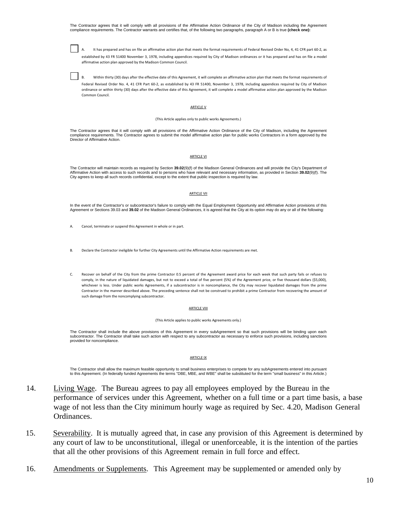The Contractor agrees that it will comply with all provisions of the Affirmative Action Ordinance of the City of Madison including the Agreement compliance requirements. The Contractor warrants and certifies that, of the following two paragraphs, paragraph A or B is true **(check one):**

It has prepared and has on file an affirmative action plan that meets the format requirements of Federal Revised Order No, 4, 41 CFR part 60-2, as established by 43 FR 51400 November 3, 1978, including appendices required by City of Madison ordinances or it has prepared and has on file a model affirmative action plan approved by the Madison Common Council.

B. Within thirty (30) days after the effective date of this Agreement, it will complete an affirmative action plan that meets the format requirements of Federal Revised Order No. 4, 41 CFR Part 60-2, as established by 43 FR 51400, November 3, 1978, including appendices required by City of Madison ordinance or within thirty (30) days after the effective date of this Agreement, it will complete a model affirmative action plan approved by the Madison Common Council.

#### ARTICLE V

#### (This Article applies only to public works Agreements.)

The Contractor agrees that it will comply with all provisions of the Affirmative Action Ordinance of the City of Madison, including the Agreement compliance requirements. The Contractor agrees to submit the model affirmative action plan for public works Contractors in a form approved by the Director of Affirmative Action.

#### ARTICLE VI

The Contractor will maintain records as required by Section **39.02**(9)(f) of the Madison General Ordinances and will provide the City's Department of Affirmative Action with access to such records and to persons who have relevant and necessary information, as provided in Section **39.02**(9)(f). The City agrees to keep all such records confidential, except to the extent that public inspection is required by law.

#### ARTICLE VII

In the event of the Contractor's or subcontractor's failure to comply with the Equal Employment Opportunity and Affirmative Action provisions of this Agreement or Sections 39.03 and **39.02** of the Madison General Ordinances, it is agreed that the City at its option may do any or all of the following:

- A. Cancel, terminate or suspend this Agreement in whole or in part.
- B. Declare the Contractor ineligible for further City Agreements until the Affirmative Action requirements are met.
- C. Recover on behalf of the City from the prime Contractor 0.5 percent of the Agreement award price for each week that such party fails or refuses to comply, in the nature of liquidated damages, but not to exceed a total of five percent (5%) of the Agreement price, or five thousand dollars (\$5,000), whichever is less. Under public works Agreements, if a subcontractor is in noncompliance, the City may recover liquidated damages from the prime Contractor in the manner described above. The preceding sentence shall not be construed to prohibit a prime Contractor from recovering the amount of such damage from the noncomplying subcontractor.

#### **ARTICLE VIII**

(This Article applies to public works Agreements only.)

The Contractor shall include the above provisions of this Agreement in every subAgreement so that such provisions will be binding upon each subcontractor. The Contractor shall take such action with respect to any subcontractor as necessary to enforce such provisions, including sanctions provided for noncompliance.

#### ARTICLE IX

The Contractor shall allow the maximum feasible opportunity to small business enterprises to compete for any subAgreements entered into pursuant to this Agreement. (In federally funded Agreements the terms "DBE, MBE, and WBE" shall be substituted for the term "small business" in this Article.)

- 14. Living Wage. The Bureau agrees to pay all employees employed by the Bureau in the performance of services under this Agreement, whether on a full time or a part time basis, a base wage of not less than the City minimum hourly wage as required by Sec. 4.20, Madison General Ordinances.
- 15. Severability. It is mutually agreed that, in case any provision of this Agreement is determined by any court of law to be unconstitutional, illegal or unenforceable, it is the intention of the parties that all the other provisions of this Agreement remain in full force and effect.
- 16. Amendments or Supplements. This Agreement may be supplemented or amended only by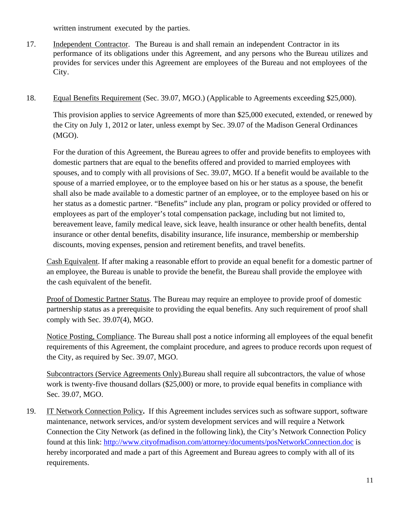written instrument executed by the parties.

- 17. Independent Contractor. The Bureau is and shall remain an independent Contractor in its performance of its obligations under this Agreement, and any persons who the Bureau utilizes and provides for services under this Agreement are employees of the Bureau and not employees of the City.
- 18. Equal Benefits Requirement (Sec. 39.07, MGO.) (Applicable to Agreements exceeding \$25,000).

 This provision applies to service Agreements of more than \$25,000 executed, extended, or renewed by the City on July 1, 2012 or later, unless exempt by Sec. 39.07 of the Madison General Ordinances (MGO).

 For the duration of this Agreement, the Bureau agrees to offer and provide benefits to employees with domestic partners that are equal to the benefits offered and provided to married employees with spouses, and to comply with all provisions of Sec. 39.07, MGO. If a benefit would be available to the spouse of a married employee, or to the employee based on his or her status as a spouse, the benefit shall also be made available to a domestic partner of an employee, or to the employee based on his or her status as a domestic partner. "Benefits" include any plan, program or policy provided or offered to employees as part of the employer's total compensation package, including but not limited to, bereavement leave, family medical leave, sick leave, health insurance or other health benefits, dental insurance or other dental benefits, disability insurance, life insurance, membership or membership discounts, moving expenses, pension and retirement benefits, and travel benefits.

Cash Equivalent. If after making a reasonable effort to provide an equal benefit for a domestic partner of an employee, the Bureau is unable to provide the benefit, the Bureau shall provide the employee with the cash equivalent of the benefit.

Proof of Domestic Partner Status. The Bureau may require an employee to provide proof of domestic partnership status as a prerequisite to providing the equal benefits. Any such requirement of proof shall comply with Sec. 39.07(4), MGO.

Notice Posting, Compliance. The Bureau shall post a notice informing all employees of the equal benefit requirements of this Agreement, the complaint procedure, and agrees to produce records upon request of the City, as required by Sec. 39.07, MGO.

Subcontractors (Service Agreements Only).Bureau shall require all subcontractors, the value of whose work is twenty-five thousand dollars (\$25,000) or more, to provide equal benefits in compliance with Sec. 39.07, MGO.

19. IT Network Connection Policy**.** If this Agreement includes services such as software support, software maintenance, network services, and/or system development services and will require a Network Connection the City Network (as defined in the following link), the City's Network Connection Policy found at this link: http://www.cityofmadison.com/attorney/documents/posNetworkConnection.doc is hereby incorporated and made a part of this Agreement and Bureau agrees to comply with all of its requirements.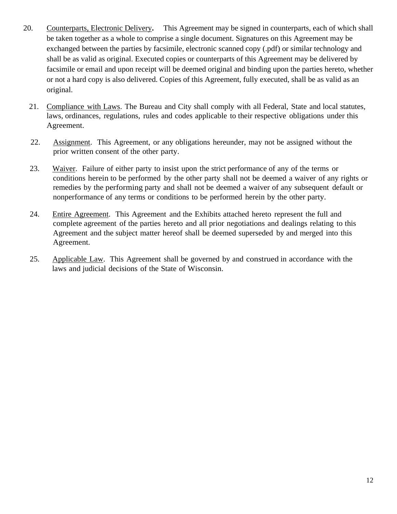- 20. Counterparts, Electronic Delivery**.** This Agreement may be signed in counterparts, each of which shall be taken together as a whole to comprise a single document. Signatures on this Agreement may be exchanged between the parties by facsimile, electronic scanned copy (.pdf) or similar technology and shall be as valid as original. Executed copies or counterparts of this Agreement may be delivered by facsimile or email and upon receipt will be deemed original and binding upon the parties hereto, whether or not a hard copy is also delivered. Copies of this Agreement, fully executed, shall be as valid as an original.
	- 21. Compliance with Laws. The Bureau and City shall comply with all Federal, State and local statutes, laws, ordinances, regulations, rules and codes applicable to their respective obligations under this Agreement.
	- 22. Assignment. This Agreement, or any obligations hereunder, may not be assigned without the prior written consent of the other party.
	- 23. Waiver. Failure of either party to insist upon the strict performance of any of the terms or conditions herein to be performed by the other party shall not be deemed a waiver of any rights or remedies by the performing party and shall not be deemed a waiver of any subsequent default or nonperformance of any terms or conditions to be performed herein by the other party.
	- 24. Entire Agreement. This Agreement and the Exhibits attached hereto represent the full and complete agreement of the parties hereto and all prior negotiations and dealings relating to this Agreement and the subject matter hereof shall be deemed superseded by and merged into this Agreement.
	- 25. Applicable Law. This Agreement shall be governed by and construed in accordance with the laws and judicial decisions of the State of Wisconsin.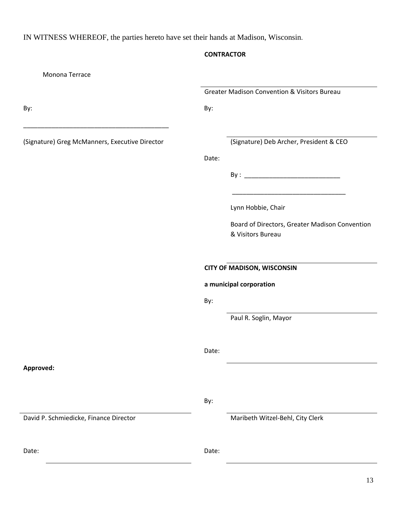IN WITNESS WHEREOF, the parties hereto have set their hands at Madison, Wisconsin.

# **CONTRACTOR**

| Monona Terrace                                 |                                                         |                                                                     |
|------------------------------------------------|---------------------------------------------------------|---------------------------------------------------------------------|
|                                                | <b>Greater Madison Convention &amp; Visitors Bureau</b> |                                                                     |
| By:                                            | By:                                                     |                                                                     |
| (Signature) Greg McManners, Executive Director |                                                         | (Signature) Deb Archer, President & CEO                             |
|                                                | Date:                                                   |                                                                     |
|                                                |                                                         |                                                                     |
|                                                |                                                         | Lynn Hobbie, Chair                                                  |
|                                                |                                                         | Board of Directors, Greater Madison Convention<br>& Visitors Bureau |
|                                                | <b>CITY OF MADISON, WISCONSIN</b>                       |                                                                     |
|                                                | a municipal corporation                                 |                                                                     |
|                                                | By:                                                     |                                                                     |
|                                                |                                                         | Paul R. Soglin, Mayor                                               |
|                                                | Date:                                                   |                                                                     |
| Approved:                                      |                                                         |                                                                     |
|                                                | By:                                                     |                                                                     |
| David P. Schmiedicke, Finance Director         |                                                         | Maribeth Witzel-Behl, City Clerk                                    |
| Date:                                          | Date:                                                   |                                                                     |
|                                                |                                                         | 13                                                                  |